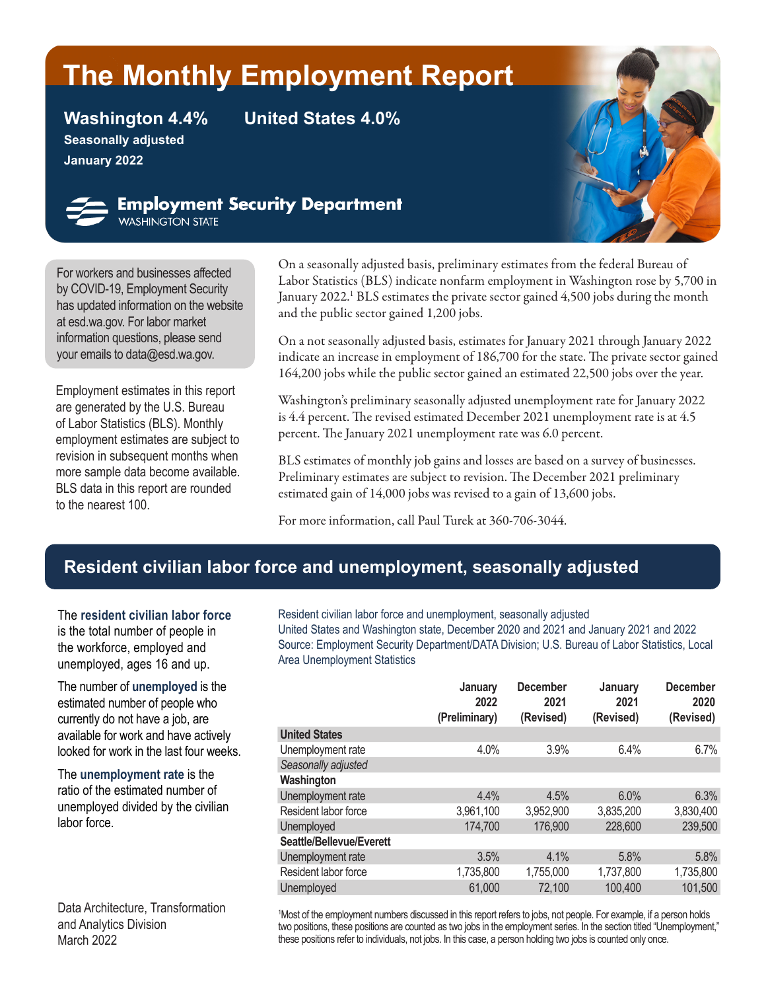# **The Monthly Employment Report**

**Seasonally adjusted January 2022**

**Washington 4.4% United States 4.0%**



**Employment Security Department**<br>WASHINGTON STATE

For workers and businesses affected by [COVID-19,](https://esd.wa.gov/newsroom/covid-19) Employment Security has updated information on the website at esd.wa.gov. For labor market information questions, please send your emails to dat[a@esd.wa.gov](mailto:data%40esd.wa.gov?subject=data%40esd.wa.gov).

Employment estimates in this report are generated by the U.S. Bureau of Labor Statistics (BLS). Monthly employment estimates are subject to revision in subsequent months when more sample data become available. BLS data in this report are rounded to the nearest 100.

On a seasonally adjusted basis, preliminary estimates from the federal Bureau of Labor Statistics (BLS) indicate nonfarm employment in Washington rose by 5,700 in January 2022.<sup>1</sup> BLS estimates the private sector gained 4,500 jobs during the month and the public sector gained 1,200 jobs.

On a not seasonally adjusted basis, estimates for January 2021 through January 2022 indicate an increase in employment of 186,700 for the state. The private sector gained 164,200 jobs while the public sector gained an estimated 22,500 jobs over the year.

Washington's preliminary seasonally adjusted unemployment rate for January 2022 is 4.4 percent. The revised estimated December 2021 unemployment rate is at 4.5 percent. The January 2021 unemployment rate was 6.0 percent.

BLS estimates of monthly job gains and losses are based on a survey of businesses. Preliminary estimates are subject to revision. The December 2021 preliminary estimated gain of 14,000 jobs was revised to a gain of 13,600 jobs.

For more information, call Paul Turek at 360-706-3044.

# **Resident civilian labor force and unemployment, seasonally adjusted**

The **resident civilian labor force** is the total number of people in the workforce, employed and unemployed, ages 16 and up.

The number of **unemployed** is the estimated number of people who currently do not have a job, are available for work and have actively looked for work in the last four weeks.

The **unemployment rate** is the ratio of the estimated number of unemployed divided by the civilian labor force.

Data Architecture, Transformation and Analytics Division March 2022

Resident civilian labor force and unemployment, seasonally adjusted United States and Washington state, December 2020 and 2021 and January 2021 and 2022 Source: Employment Security Department/DATA Division; U.S. Bureau of Labor Statistics, Local Area Unemployment Statistics

| January<br>2022<br>(Preliminary) | <b>December</b><br>2021<br>(Revised) | January<br>2021<br>(Revised) | <b>December</b><br>2020<br>(Revised) |
|----------------------------------|--------------------------------------|------------------------------|--------------------------------------|
|                                  |                                      |                              |                                      |
| 4.0%                             | 3.9%                                 | 6.4%                         | 6.7%                                 |
|                                  |                                      |                              |                                      |
|                                  |                                      |                              |                                      |
| 4.4%                             | 4.5%                                 | 6.0%                         | 6.3%                                 |
| 3,961,100                        | 3,952,900                            | 3,835,200                    | 3,830,400                            |
| 174,700                          | 176,900                              | 228,600                      | 239,500                              |
|                                  |                                      |                              |                                      |
| 3.5%                             | 4.1%                                 | 5.8%                         | 5.8%                                 |
| 1,735,800                        | 1,755,000                            | 1,737,800                    | 1,735,800                            |
| 61,000                           | 72,100                               | 100,400                      | 101,500                              |
|                                  |                                      |                              |                                      |

1 Most of the employment numbers discussed in this report refers to jobs, not people. For example, if a person holds two positions, these positions are counted as two jobs in the employment series. In the section titled "Unemployment," these positions refer to individuals, not jobs. In this case, a person holding two jobs is counted only once.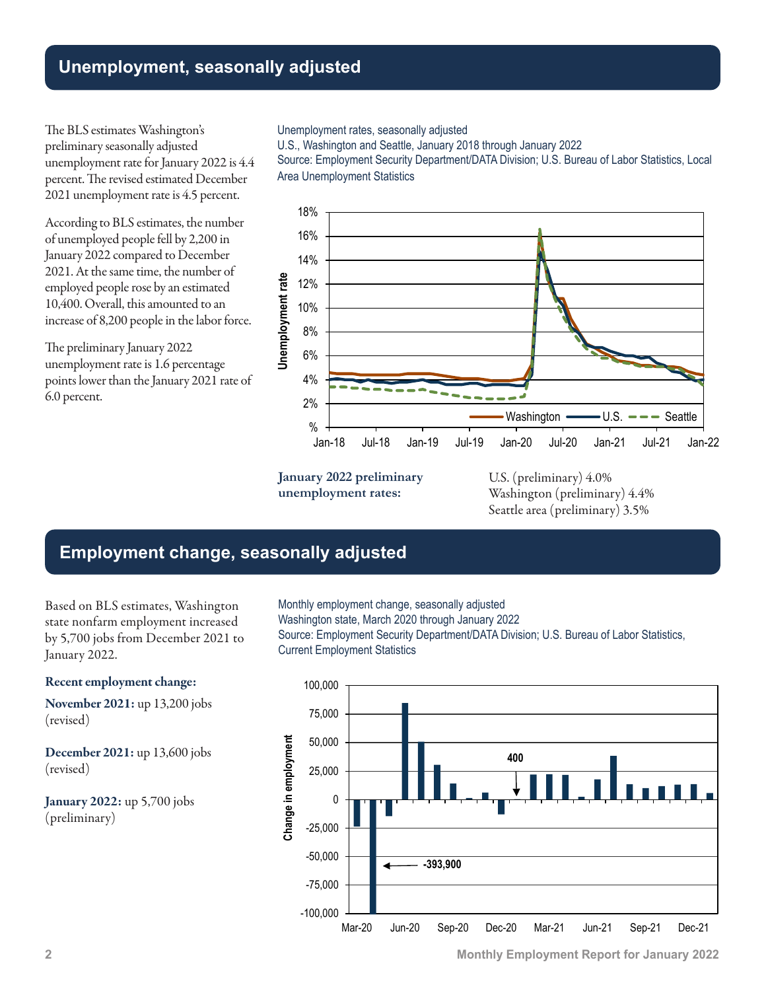# **Unemployment, seasonally adjusted**

The BLS estimates Washington's preliminary seasonally adjusted unemployment rate for January 2022 is 4.4 percent. The revised estimated December 2021 unemployment rate is 4.5 percent.

According to BLS estimates, the number of unemployed people fell by 2,200 in January 2022 compared to December 2021. At the same time, the number of employed people rose by an estimated 10,400. Overall, this amounted to an increase of 8,200 people in the labor force.

The preliminary January 2022 unemployment rate is 1.6 percentage points lower than the January 2021 rate of 6.0 percent.

#### Unemployment rates, seasonally adjusted

U.S., Washington and Seattle, January 2018 through January 2022

Source: Employment Security Department/DATA Division; U.S. Bureau of Labor Statistics, Local Area Unemployment Statistics



**January 2022 preliminary unemployment rates:**

U.S. (preliminary) 4.0% Washington (preliminary) 4.4% Seattle area (preliminary) 3.5%

### **Employment change, seasonally adjusted**

Based on BLS estimates, Washington state nonfarm employment increased by 5,700 jobs from December 2021 to January 2022.

#### Recent employment change:

November 2021: up 13,200 jobs (revised)

December 2021: up 13,600 jobs (revised)

January 2022: up 5,700 jobs (preliminary)

Monthly employment change, seasonally adjusted Washington state, March 2020 through January 2022 Source: Employment Security Department/DATA Division; U.S. Bureau of Labor Statistics, Current Employment Statistics



**2 Monthly Employment Report for January 2022**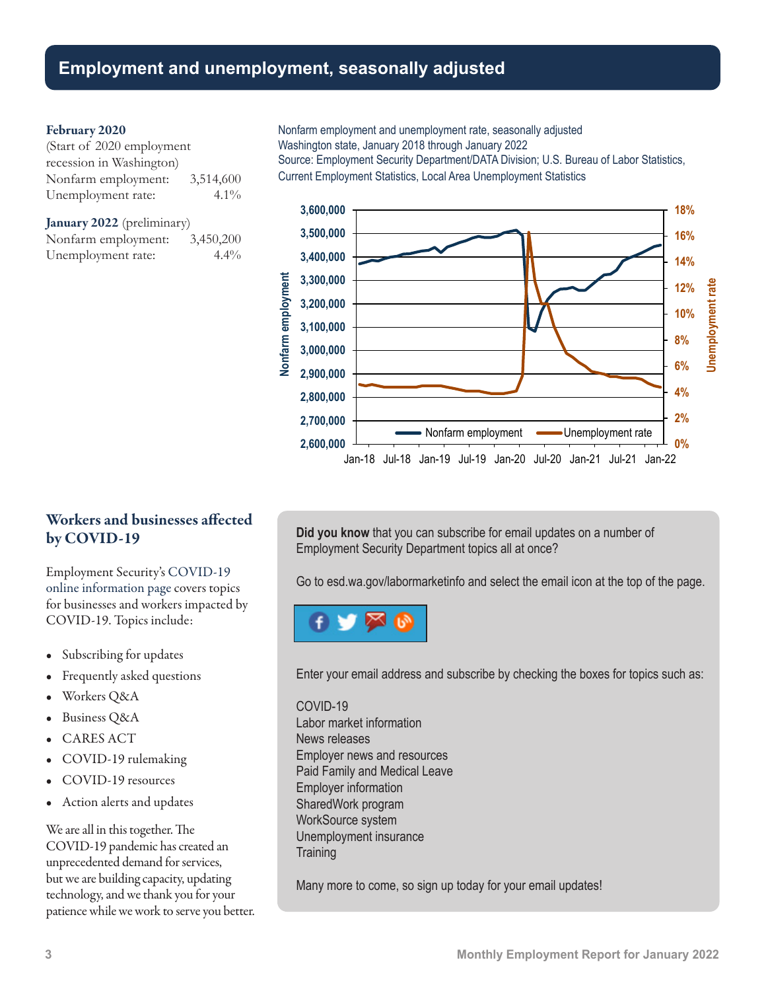### **Employment and unemployment, seasonally adjusted**

#### February 2020

| (Start of 2020 employment |           |
|---------------------------|-----------|
| recession in Washington)  |           |
| Nonfarm employment:       | 3,514,600 |
| Unemployment rate:        | $4.1\%$   |

January 2022 (preliminary) Nonfarm employment: 3,450,200 Unemployment rate: 4.4% Nonfarm employment and unemployment rate, seasonally adjusted Washington state, January 2018 through January 2022

Source: Employment Security Department/DATA Division; U.S. Bureau of Labor Statistics, Current Employment Statistics, Local Area Unemployment Statistics



### Workers and businesses affected by COVID-19

Employment Security's [COVID-19](https://esd.wa.gov/newsroom/covid-19)  [online information page](https://esd.wa.gov/newsroom/covid-19) covers topics for businesses and workers impacted by COVID-19. Topics include:

- Subscribing for updates
- Frequently asked questions
- Workers Q&A
- Business Q&A
- CARES ACT
- COVID-19 rulemaking
- COVID-19 resources
- Action alerts and updates

We are all in this together. The COVID-19 pandemic has created an unprecedented demand for services, but we are building capacity, updating technology, and we thank you for your patience while we work to serve you better. **Did you know** that you can subscribe for email updates on a number of Employment Security Department topics all at once?

Go to [esd.wa.gov/labormarketinfo](http://esd.wa.gov/labormarketinfo) and select the email icon at the top of the page.



Enter your email address and subscribe by checking the boxes for topics such as:

#### COVID-19

Labor market information News releases Employer news and resources Paid Family and Medical Leave Employer information SharedWork program WorkSource system Unemployment insurance **Training** 

Many more to come, so sign up today for your email updates!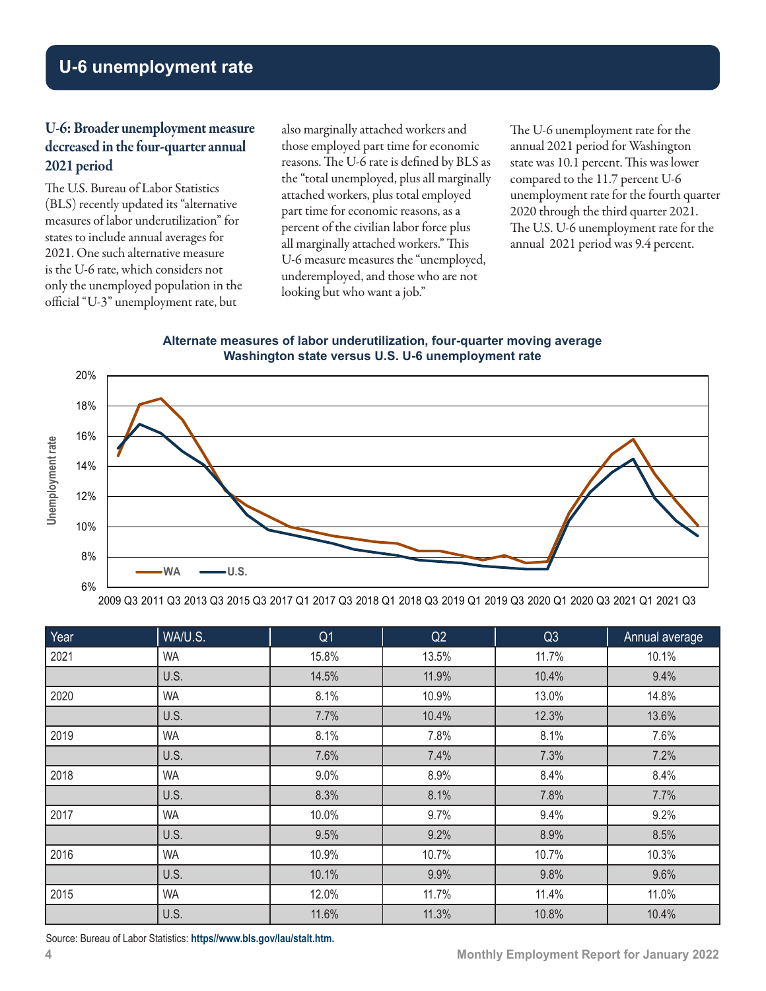# **U-6 unemployment rate**

### U-6: Broader unemployment measure decreased in the four-quarter annual 2021 period

The U.S. Bureau of Labor Statistics (BLS) recently updated its "alternative measures of labor underutilization" for states to include annual averages for 2021. One such alternative measure is the U-6 rate, which considers not only the unemployed population in the official "U-3" unemployment rate, but

also marginally attached workers and those employed part time for economic reasons. The U-6 rate is defined by BLS as the "total unemployed, plus all marginally attached workers, plus total employed part time for economic reasons, as a percent of the civilian labor force plus all marginally attached workers." This U-6 measure measures the "unemployed, underemployed, and those who are not looking but who want a job."

The U-6 unemployment rate for the annual 2021 period for Washington state was 10.1 percent. This was lower compared to the 11.7 percent U-6 unemployment rate for the fourth quarter 2020 through the third quarter 2021. The U.S. U-6 unemployment rate for the annual 2021 period was 9.4 percent.

#### **Alternate measures of labor underutilization, four-quarter moving average Washington state versus U.S. U-6 unemployment rate**



2009 Q3 2011 Q3 2013 Q3 2015 Q3 2017 Q1 2017 Q3 2018 Q1 2018 Q3 2019 Q1 2019 Q3 2020 Q1 2020 Q3 2021 Q1 2021 Q3

| Year | WA/U.S.   | Q <sub>1</sub> | Q2    | Q <sub>3</sub> | Annual average |
|------|-----------|----------------|-------|----------------|----------------|
| 2021 | <b>WA</b> | 15.8%          | 13.5% | 11.7%          | 10.1%          |
|      | U.S.      | 14.5%          | 11.9% | 10.4%          | 9.4%           |
| 2020 | <b>WA</b> | 8.1%           | 10.9% | 13.0%          | 14.8%          |
|      | U.S.      | 7.7%           | 10.4% | 12.3%          | 13.6%          |
| 2019 | <b>WA</b> | 8.1%           | 7.8%  | 8.1%           | 7.6%           |
|      | U.S.      | 7.6%           | 7.4%  | 7.3%           | 7.2%           |
| 2018 | <b>WA</b> | 9.0%           | 8.9%  | 8.4%           | 8.4%           |
|      | U.S.      | 8.3%           | 8.1%  | 7.8%           | 7.7%           |
| 2017 | <b>WA</b> | 10.0%          | 9.7%  | 9.4%           | 9.2%           |
|      | U.S.      | 9.5%           | 9.2%  | 8.9%           | 8.5%           |
| 2016 | <b>WA</b> | 10.9%          | 10.7% | 10.7%          | 10.3%          |
|      | U.S.      | 10.1%          | 9.9%  | 9.8%           | 9.6%           |
| 2015 | <b>WA</b> | 12.0%          | 11.7% | 11.4%          | 11.0%          |
|      | U.S.      | 11.6%          | 11.3% | 10.8%          | 10.4%          |

Source: Bureau of Labor Statistics: **[https//www.bls.gov/lau/stalt.htm](https://www.bls.gov/lau/stalt.htm).**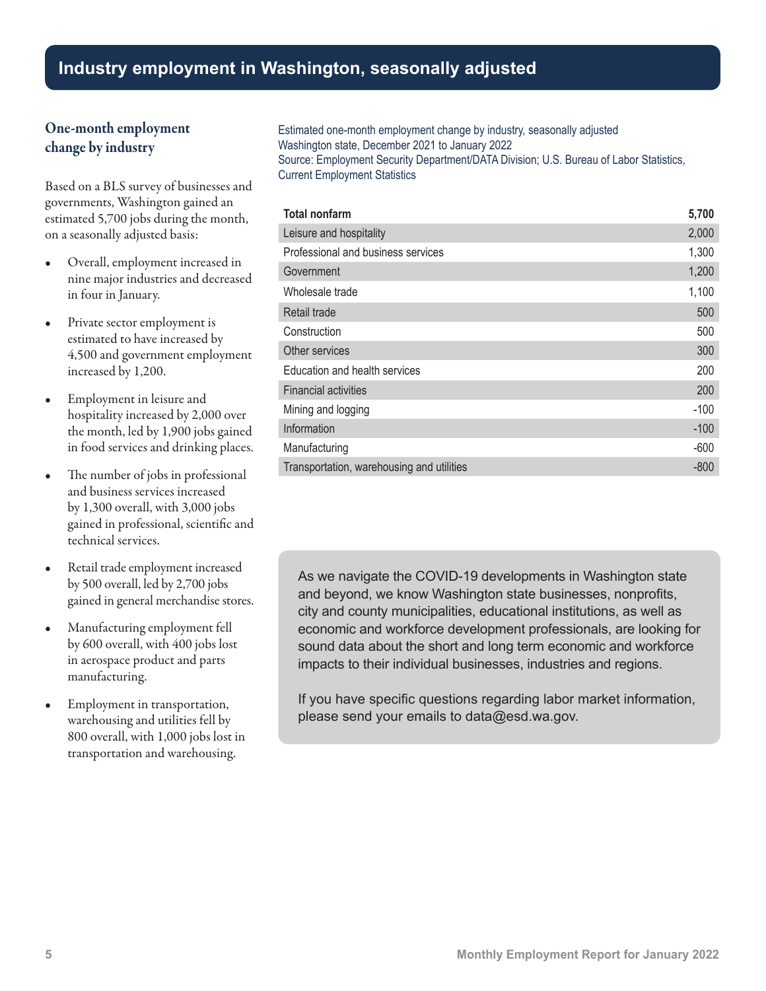# **Industry employment in Washington, seasonally adjusted**

### One-month employment change by industry

Based on a BLS survey of businesses and governments, Washington gained an estimated 5,700 jobs during the month, on a seasonally adjusted basis:

- Overall, employment increased in nine major industries and decreased in four in January.
- Private sector employment is estimated to have increased by 4,500 and government employment increased by 1,200.
- Employment in leisure and hospitality increased by 2,000 over the month, led by 1,900 jobs gained in food services and drinking places.
- The number of jobs in professional and business services increased by 1,300 overall, with 3,000 jobs gained in professional, scientific and technical services.
- Retail trade employment increased by 500 overall, led by 2,700 jobs gained in general merchandise stores.
- Manufacturing employment fell by 600 overall, with 400 jobs lost in aerospace product and parts manufacturing.
- Employment in transportation, warehousing and utilities fell by 800 overall, with 1,000 jobs lost in transportation and warehousing.

Estimated one-month employment change by industry, seasonally adjusted Washington state, December 2021 to January 2022 Source: Employment Security Department/DATA Division; U.S. Bureau of Labor Statistics, Current Employment Statistics

| <b>Total nonfarm</b>                      | 5,700  |
|-------------------------------------------|--------|
| Leisure and hospitality                   | 2,000  |
| Professional and business services        | 1,300  |
| Government                                | 1,200  |
| Wholesale trade                           | 1,100  |
| Retail trade                              | 500    |
| Construction                              | 500    |
| Other services                            | 300    |
| Education and health services             | 200    |
| <b>Financial activities</b>               | 200    |
| Mining and logging                        | $-100$ |
| Information                               | $-100$ |
| Manufacturing                             | $-600$ |
| Transportation, warehousing and utilities | $-800$ |

As we navigate the COVID-19 developments in Washington state and beyond, we know Washington state businesses, nonprofits, city and county municipalities, educational institutions, as well as economic and workforce development professionals, are looking for sound data about the short and long term economic and workforce impacts to their individual businesses, industries and regions.

If you have specific questions regarding labor market information, please send your emails t[o data@esd.wa.gov.](mailto:data%40esd.wa.gov?subject=data%40esd.wa.gov)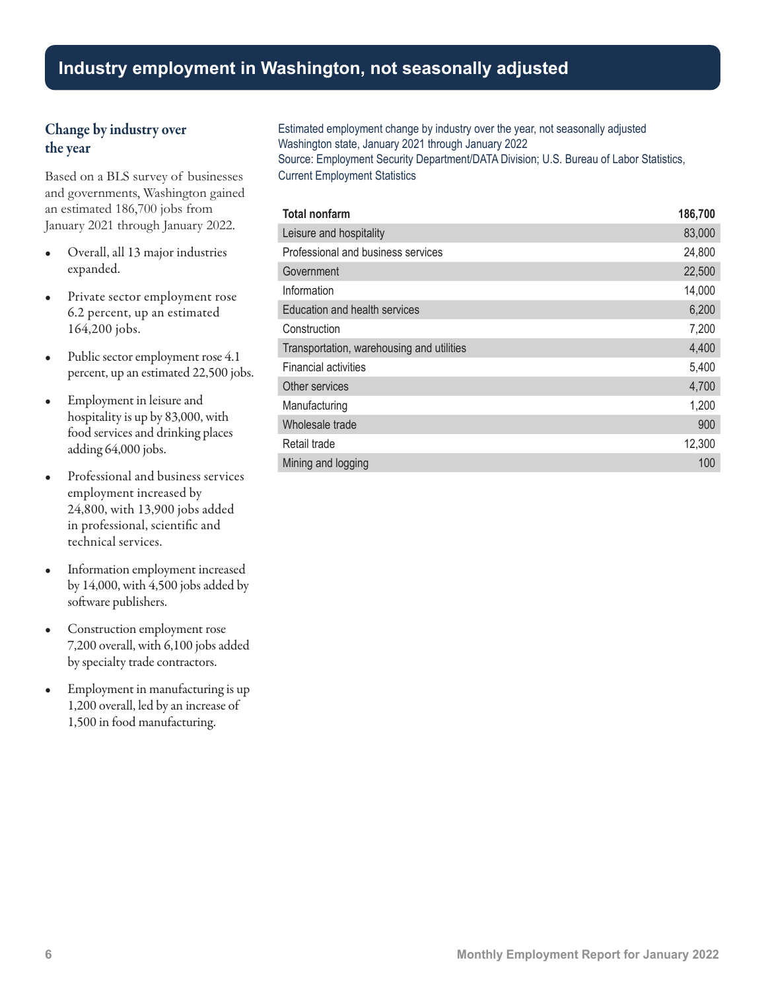### **Industry employment in Washington, not seasonally adjusted**

### Change by industry over the year

Based on a BLS survey of businesses and governments, Washington gained an estimated 186,700 jobs from January 2021 through January 2022.

- Overall, all 13 major industries expanded.
- Private sector employment rose 6.2 percent, up an estimated 164,200 jobs.
- Public sector employment rose 4.1 percent, up an estimated 22,500 jobs.
- Employment in leisure and hospitality is up by 83,000, with food services and drinking places adding 64,000 jobs.
- Professional and business services employment increased by 24,800, with 13,900 jobs added in professional, scientific and technical services.
- Information employment increased by 14,000, with 4,500 jobs added by software publishers.
- Construction employment rose 7,200 overall, with 6,100 jobs added by specialty trade contractors.
- Employment in manufacturing is up 1,200 overall, led by an increase of 1,500 in food manufacturing.

Estimated employment change by industry over the year, not seasonally adjusted Washington state, January 2021 through January 2022 Source: Employment Security Department/DATA Division; U.S. Bureau of Labor Statistics, Current Employment Statistics

| <b>Total nonfarm</b>                      | 186,700 |
|-------------------------------------------|---------|
| Leisure and hospitality                   | 83,000  |
| Professional and business services        | 24,800  |
| Government                                | 22,500  |
| Information                               | 14,000  |
| Education and health services             | 6,200   |
| Construction                              | 7,200   |
| Transportation, warehousing and utilities | 4,400   |
| <b>Financial activities</b>               | 5,400   |
| Other services                            | 4,700   |
| Manufacturing                             | 1,200   |
| Wholesale trade                           | 900     |
| Retail trade                              | 12,300  |
| Mining and logging                        | 100     |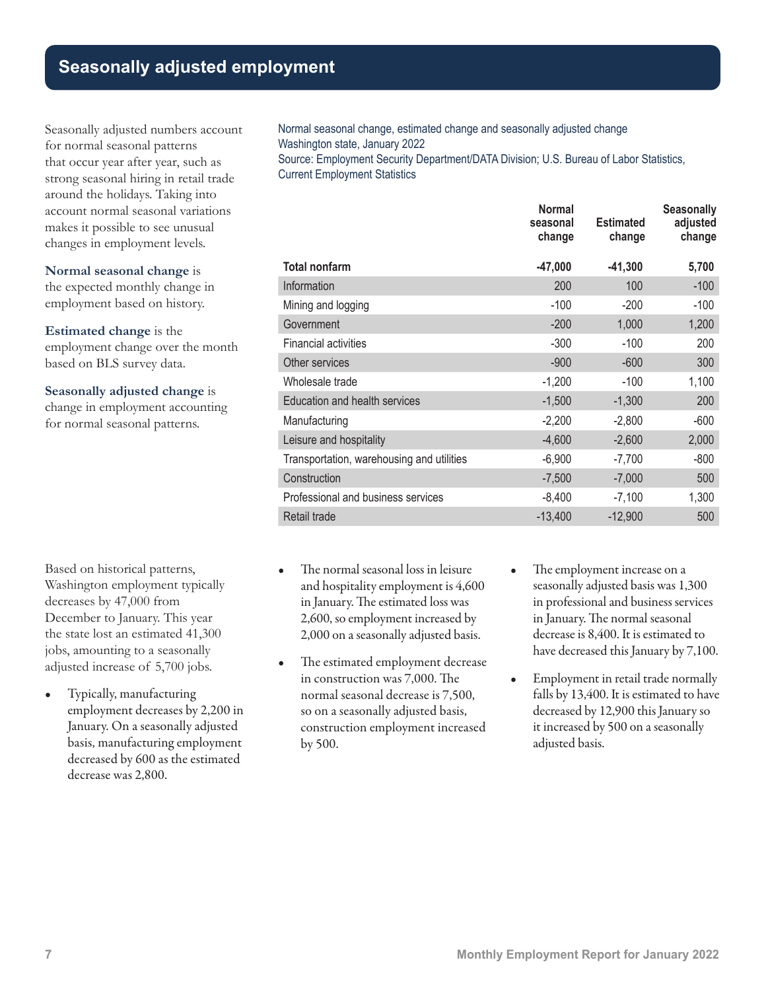# **Seasonally adjusted employment**

Seasonally adjusted numbers account for normal seasonal patterns that occur year after year, such as strong seasonal hiring in retail trade around the holidays. Taking into account normal seasonal variations makes it possible to see unusual changes in employment levels.

**Normal seasonal change** is

the expected monthly change in employment based on history.

**Estimated change** is the employment change over the month based on BLS survey data.

**Seasonally adjusted change** is change in employment accounting for normal seasonal patterns.

Based on historical patterns, Washington employment typically decreases by 47,000 from December to January. This year the state lost an estimated 41,300 jobs, amounting to a seasonally adjusted increase of 5,700 jobs.

• Typically, manufacturing employment decreases by 2,200 in January. On a seasonally adjusted basis, manufacturing employment decreased by 600 as the estimated decrease was 2,800.

Normal seasonal change, estimated change and seasonally adjusted change Washington state, January 2022 Source: Employment Security Department/DATA Division; U.S. Bureau of Labor Statistics,

**Normal seasonal change Estimated change Seasonally adjusted change Total nonfarm -47,000 -41,300 5,700** Information 200 100 -100 Mining and logging and logging and the state of the state of the state of the state of the state of the state of the state of the state of the state of the state of the state of the state of the state of the state of the s Government 1,200 1,200 1,200 Financial activities and the state of the state of the state of the state of the state of the state of the state of the state of the state of the state of the state of the state of the state of the state of the state of th Other services 300 and 300 and 300 and 300 and 300 and 300 and 300 and 300 and 300 and 300 and 300 and 300 and 300 and 300 and 300 and 300 and 300 and 300 and 300 and 300 and 300 and 300 and 300 and 300 and 300 and 300 and Wholesale trade  $-1,200$  -100  $-1,100$ Education and health services -1,500 -1,300 200 Manufacturing -2,200 -2,800 -600 Leisure and hospitality  $-4,600$  -2,600 2,000 Transportation, warehousing and utilities -6,900 -7,700 -800 Construction 500 Professional and business services -8,400 -7,100 1,300 Retail trade -13,400 -12,900 - 500

The normal seasonal loss in leisure and hospitality employment is 4,600 in January. The estimated loss was 2,600, so employment increased by 2,000 on a seasonally adjusted basis.

Current Employment Statistics

- The estimated employment decrease in construction was 7,000. The normal seasonal decrease is 7,500, so on a seasonally adjusted basis, construction employment increased by 500.
- The employment increase on a seasonally adjusted basis was 1,300 in professional and business services in January. The normal seasonal decrease is 8,400. It is estimated to have decreased this January by 7,100.
- Employment in retail trade normally falls by 13,400. It is estimated to have decreased by 12,900 this January so it increased by 500 on a seasonally adjusted basis.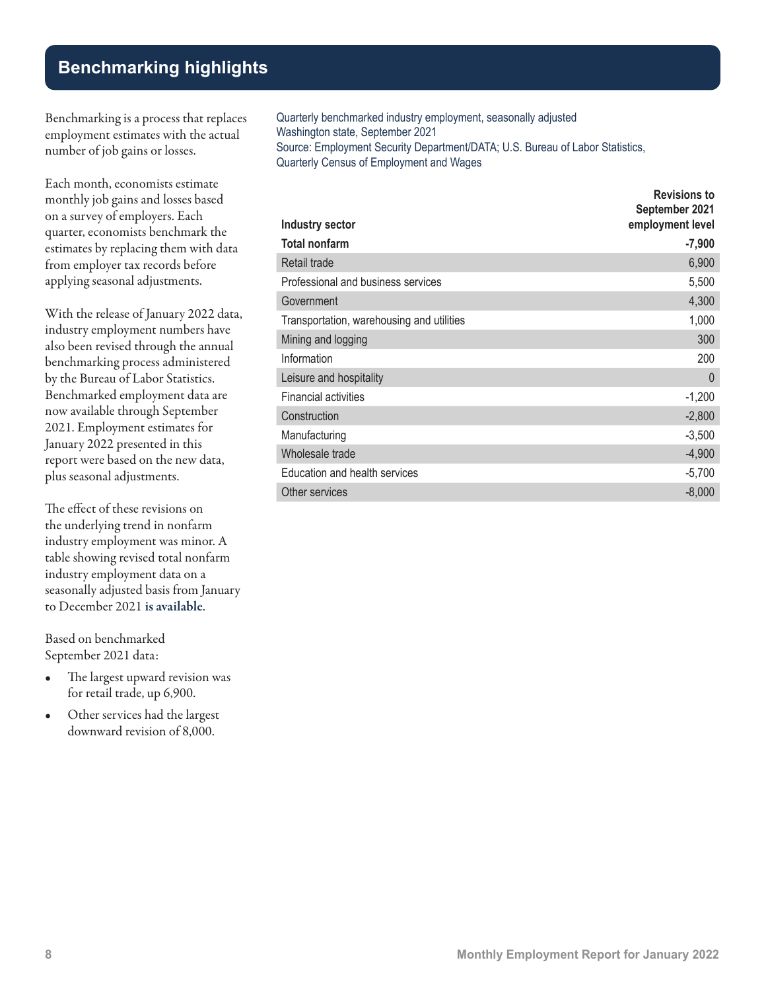# **Benchmarking highlights**

Benchmarking is a process that replaces employment estimates with the actual number of job gains or losses.

Each month, economists estimate monthly job gains and losses based on a survey of employers. Each quarter, economists benchmark the estimates by replacing them with data from employer tax records before applying seasonal adjustments.

With the release of January 2022 data, industry employment numbers have also been revised through the annual benchmarking process administered by the Bureau of Labor Statistics. Benchmarked employment data are now available through September 2021. Employment estimates for January 2022 presented in this report were based on the new data, plus seasonal adjustments.

The effect of these revisions on the underlying trend in nonfarm industry employment was minor. A table showing revised total nonfarm industry employment data on a seasonally adjusted basis from January to December 2021 [is available](https://media.esd.wa.gov/esdwa/Default/ESDWAGOV/labor-market-info/Libraries/Economic-reports/MER/MER%202022/WA%202021%20Benchmark%20revisions.xlsx).

Based on benchmarked September 2021 data:

- The largest upward revision was for retail trade, up 6,900.
- Other services had the largest downward revision of 8,000.

Quarterly benchmarked industry employment, seasonally adjusted Washington state, September 2021 Source: Employment Security Department/DATA; U.S. Bureau of Labor Statistics, Quarterly Census of Employment and Wages

| Industry sector                           | <b>Revisions to</b><br>September 2021<br>employment level |
|-------------------------------------------|-----------------------------------------------------------|
| <b>Total nonfarm</b>                      | $-7,900$                                                  |
| Retail trade                              | 6,900                                                     |
| Professional and business services        | 5,500                                                     |
| Government                                | 4,300                                                     |
| Transportation, warehousing and utilities | 1,000                                                     |
| Mining and logging                        | 300                                                       |
| Information                               | 200                                                       |
| Leisure and hospitality                   | $\Omega$                                                  |
| <b>Financial activities</b>               | $-1,200$                                                  |
| Construction                              | $-2,800$                                                  |
| Manufacturing                             | $-3,500$                                                  |
| Wholesale trade                           | $-4,900$                                                  |
| Education and health services             | $-5,700$                                                  |
| Other services                            | $-8,000$                                                  |